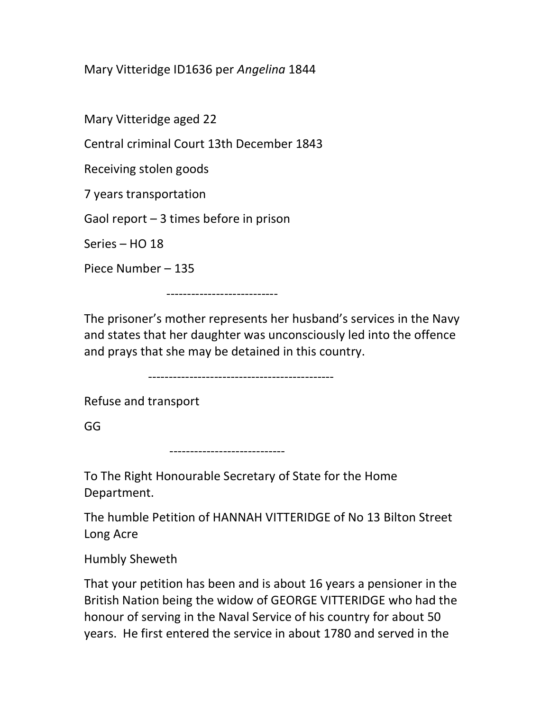Mary Vitteridge ID1636 per Angelina 1844

Mary Vitteridge aged 22

Central criminal Court 13th December 1843

Receiving stolen goods

7 years transportation

Gaol report – 3 times before in prison

Series – HO 18

Piece Number – 135

---------------------------

The prisoner's mother represents her husband's services in the Navy and states that her daughter was unconsciously led into the offence and prays that she may be detained in this country.

---------------------------------------------

Refuse and transport

GG

----------------------------

To The Right Honourable Secretary of State for the Home Department.

The humble Petition of HANNAH VITTERIDGE of No 13 Bilton Street Long Acre

Humbly Sheweth

That your petition has been and is about 16 years a pensioner in the British Nation being the widow of GEORGE VITTERIDGE who had the honour of serving in the Naval Service of his country for about 50 years. He first entered the service in about 1780 and served in the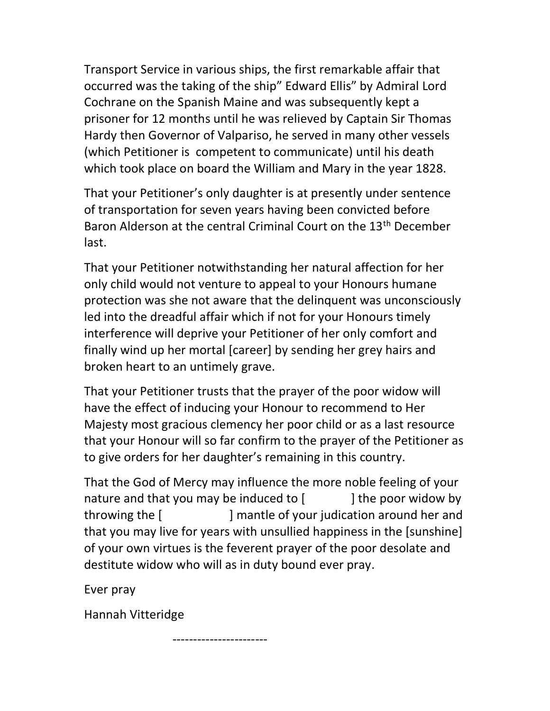Transport Service in various ships, the first remarkable affair that occurred was the taking of the ship" Edward Ellis" by Admiral Lord Cochrane on the Spanish Maine and was subsequently kept a prisoner for 12 months until he was relieved by Captain Sir Thomas Hardy then Governor of Valpariso, he served in many other vessels (which Petitioner is competent to communicate) until his death which took place on board the William and Mary in the year 1828.

That your Petitioner's only daughter is at presently under sentence of transportation for seven years having been convicted before Baron Alderson at the central Criminal Court on the 13th December last.

That your Petitioner notwithstanding her natural affection for her only child would not venture to appeal to your Honours humane protection was she not aware that the delinquent was unconsciously led into the dreadful affair which if not for your Honours timely interference will deprive your Petitioner of her only comfort and finally wind up her mortal [career] by sending her grey hairs and broken heart to an untimely grave.

That your Petitioner trusts that the prayer of the poor widow will have the effect of inducing your Honour to recommend to Her Majesty most gracious clemency her poor child or as a last resource that your Honour will so far confirm to the prayer of the Petitioner as to give orders for her daughter's remaining in this country.

That the God of Mercy may influence the more noble feeling of your nature and that you may be induced to  $\lceil$  | the poor widow by throwing the [ ] mantle of your judication around her and that you may live for years with unsullied happiness in the [sunshine] of your own virtues is the feverent prayer of the poor desolate and destitute widow who will as in duty bound ever pray.

Ever pray

Hannah Vitteridge

-----------------------